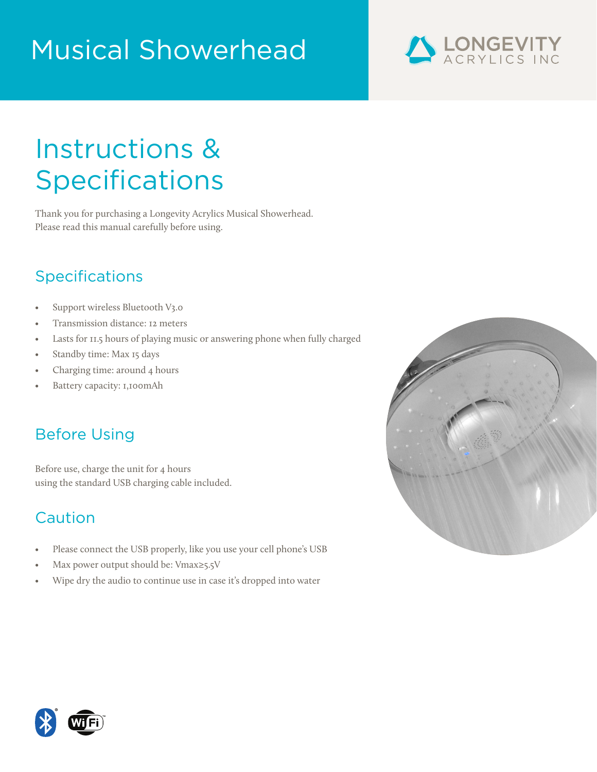# Musical Showerhead



## Instructions & **Specifications**

Thank you for purchasing a Longevity Acrylics Musical Showerhead. Please read this manual carefully before using.

## Specifications

- Support wireless Bluetooth V3.0
- Transmission distance: 12 meters
- Lasts for 11.5 hours of playing music or answering phone when fully charged
- Standby time: Max 15 days
- Charging time: around 4 hours
- Battery capacity: 1,100mAh

## Before Using

Before use, charge the unit for 4 hours using the standard USB charging cable included.

## Caution

- Please connect the USB properly, like you use your cell phone's USB
- Max power output should be: Vmax≥5.5V
- Wipe dry the audio to continue use in case it's dropped into water